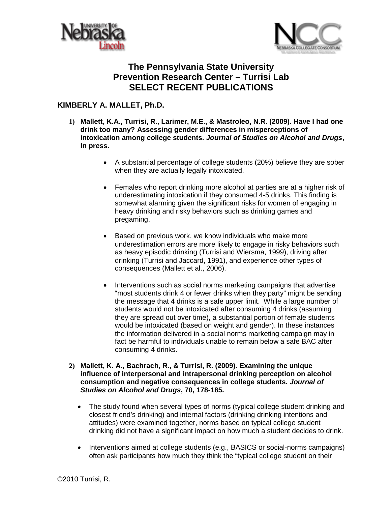



# **The Pennsylvania State University Prevention Research Center – Turrisi Lab SELECT RECENT PUBLICATIONS**

## **KIMBERLY A. MALLET, Ph.D.**

- **1) Mallett, K.A., Turrisi, R., Larimer, M.E., & Mastroleo, N.R. (2009). Have I had one drink too many? Assessing gender differences in misperceptions of intoxication among college students.** *Journal of Studies on Alcohol and Drugs***, In press.**
	- A substantial percentage of college students (20%) believe they are sober when they are actually legally intoxicated.
	- Females who report drinking more alcohol at parties are at a higher risk of underestimating intoxication if they consumed 4-5 drinks. This finding is somewhat alarming given the significant risks for women of engaging in heavy drinking and risky behaviors such as drinking games and pregaming.
	- Based on previous work, we know individuals who make more underestimation errors are more likely to engage in risky behaviors such as heavy episodic drinking (Turrisi and Wiersma, 1999), driving after drinking (Turrisi and Jaccard, 1991), and experience other types of consequences (Mallett et al., 2006).
	- Interventions such as social norms marketing campaigns that advertise "most students drink 4 or fewer drinks when they party" might be sending the message that 4 drinks is a safe upper limit. While a large number of students would not be intoxicated after consuming 4 drinks (assuming they are spread out over time), a substantial portion of female students would be intoxicated (based on weight and gender). In these instances the information delivered in a social norms marketing campaign may in fact be harmful to individuals unable to remain below a safe BAC after consuming 4 drinks.
- **2) Mallett, K. A., Bachrach, R., & Turrisi, R. (2009). Examining the unique influence of interpersonal and intrapersonal drinking perception on alcohol consumption and negative consequences in college students.** *Journal of Studies on Alcohol and Drugs***, 70, 178-185.**
	- The study found when several types of norms (typical college student drinking and closest friend's drinking) and internal factors (drinking drinking intentions and attitudes) were examined together, norms based on typical college student drinking did not have a significant impact on how much a student decides to drink.
	- Interventions aimed at college students (e.g., BASICS or social-norms campaigns) often ask participants how much they think the "typical college student on their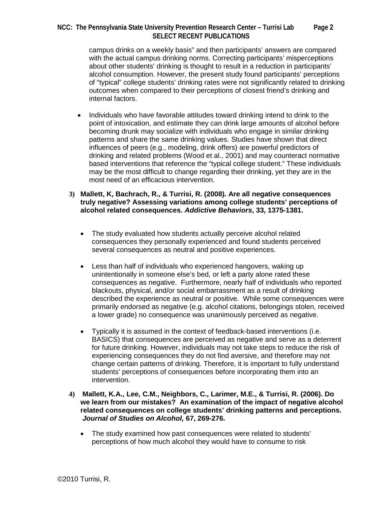### **NCC: The Pennsylvania State University Prevention Research Center – Turrisi Lab Page 2 SELECT RECENT PUBLICATIONS**

campus drinks on a weekly basis" and then participants' answers are compared with the actual campus drinking norms. Correcting participants' misperceptions about other students' drinking is thought to result in a reduction in participants' alcohol consumption. However, the present study found participants' perceptions of "typical" college students' drinking rates were not significantly related to drinking outcomes when compared to their perceptions of closest friend's drinking and internal factors.

- Individuals who have favorable attitudes toward drinking intend to drink to the point of intoxication, and estimate they can drink large amounts of alcohol before becoming drunk may socialize with individuals who engage in similar drinking patterns and share the same drinking values. Studies have shown that direct influences of peers (e.g., modeling, drink offers) are powerful predictors of drinking and related problems (Wood et al., 2001) and may counteract normative based interventions that reference the "typical college student." These individuals may be the most difficult to change regarding their drinking, yet they are in the most need of an efficacious intervention.
- **3) Mallett, K, Bachrach, R., & Turrisi, R. (2008). Are all negative consequences truly negative? Assessing variations among college students' perceptions of alcohol related consequences.** *Addictive Behaviors***, 33, 1375-1381.**
	- The study evaluated how students actually perceive alcohol related consequences they personally experienced and found students perceived several consequences as neutral and positive experiences.
	- Less than half of individuals who experienced hangovers, waking up unintentionally in someone else's bed, or left a party alone rated these consequences as negative. Furthermore, nearly half of individuals who reported blackouts, physical, and/or social embarrassment as a result of drinking described the experience as neutral or positive. While some consequences were primarily endorsed as negative (e.g. alcohol citations, belongings stolen, received a lower grade) no consequence was unanimously perceived as negative.
	- Typically it is assumed in the context of feedback-based interventions (i.e. BASICS) that consequences are perceived as negative and serve as a deterrent for future drinking. However, individuals may not take steps to reduce the risk of experiencing consequences they do not find aversive, and therefore may not change certain patterns of drinking. Therefore, it is important to fully understand students' perceptions of consequences before incorporating them into an intervention.
- **4) Mallett, K.A., Lee, C.M., Neighbors, C., Larimer, M.E., & Turrisi, R. (2006). Do we learn from our mistakes? An examination of the impact of negative alcohol related consequences on college students' drinking patterns and perceptions.**  *Journal of Studies on Alcohol,* **67, 269-276.**
	- The study examined how past consequences were related to students' perceptions of how much alcohol they would have to consume to risk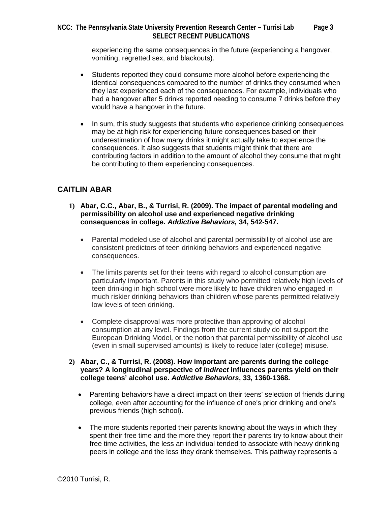### **NCC: The Pennsylvania State University Prevention Research Center – Turrisi Lab Page 3 SELECT RECENT PUBLICATIONS**

experiencing the same consequences in the future (experiencing a hangover, vomiting, regretted sex, and blackouts).

- Students reported they could consume more alcohol before experiencing the identical consequences compared to the number of drinks they consumed when they last experienced each of the consequences. For example, individuals who had a hangover after 5 drinks reported needing to consume 7 drinks before they would have a hangover in the future.
- In sum, this study suggests that students who experience drinking consequences may be at high risk for experiencing future consequences based on their underestimation of how many drinks it might actually take to experience the consequences. It also suggests that students might think that there are contributing factors in addition to the amount of alcohol they consume that might be contributing to them experiencing consequences.

# **CAITLIN ABAR**

- **1) Abar, C.C., Abar, B., & Turrisi, R. (2009). The impact of parental modeling and permissibility on alcohol use and experienced negative drinking consequences in college.** *Addictive Behaviors,* **34, 542-547.**
	- Parental modeled use of alcohol and parental permissibility of alcohol use are consistent predictors of teen drinking behaviors and experienced negative consequences.
	- The limits parents set for their teens with regard to alcohol consumption are particularly important. Parents in this study who permitted relatively high levels of teen drinking in high school were more likely to have children who engaged in much riskier drinking behaviors than children whose parents permitted relatively low levels of teen drinking.
	- Complete disapproval was more protective than approving of alcohol consumption at any level. Findings from the current study do not support the European Drinking Model, or the notion that parental permissibility of alcohol use (even in small supervised amounts) is likely to reduce later (college) misuse.
- **2) Abar, C., & Turrisi, R. (2008). How important are parents during the college years? A longitudinal perspective of** *indirect* **influences parents yield on their college teens' alcohol use.** *Addictive Behaviors***, 33, 1360-1368.**
	- Parenting behaviors have a direct impact on their teens' selection of friends during college, even after accounting for the influence of one's prior drinking and one's previous friends (high school).
	- The more students reported their parents knowing about the ways in which they spent their free time and the more they report their parents try to know about their free time activities, the less an individual tended to associate with heavy drinking peers in college and the less they drank themselves. This pathway represents a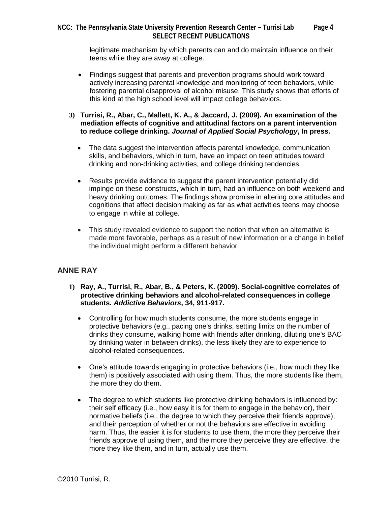### **NCC: The Pennsylvania State University Prevention Research Center – Turrisi Lab Page 4 SELECT RECENT PUBLICATIONS**

legitimate mechanism by which parents can and do maintain influence on their teens while they are away at college.

• Findings suggest that parents and prevention programs should work toward actively increasing parental knowledge and monitoring of teen behaviors, while fostering parental disapproval of alcohol misuse. This study shows that efforts of this kind at the high school level will impact college behaviors.

### **3) Turrisi, R., Abar, C., Mallett, K. A., & Jaccard, J. (2009). An examination of the mediation effects of cognitive and attitudinal factors on a parent intervention to reduce college drinking.** *Journal of Applied Social Psychology***, In press.**

- The data suggest the intervention affects parental knowledge, communication skills, and behaviors, which in turn, have an impact on teen attitudes toward drinking and non-drinking activities, and college drinking tendencies.
- Results provide evidence to suggest the parent intervention potentially did impinge on these constructs, which in turn, had an influence on both weekend and heavy drinking outcomes. The findings show promise in altering core attitudes and cognitions that affect decision making as far as what activities teens may choose to engage in while at college.
- This study revealed evidence to support the notion that when an alternative is made more favorable, perhaps as a result of new information or a change in belief the individual might perform a different behavior

### **ANNE RAY**

- **1) Ray, A., Turrisi, R., Abar, B., & Peters, K. (2009). Social-cognitive correlates of protective drinking behaviors and alcohol-related consequences in college students.** *Addictive Behaviors***, 34, 911-917.**
	- Controlling for how much students consume, the more students engage in protective behaviors (e.g., pacing one's drinks, setting limits on the number of drinks they consume, walking home with friends after drinking, diluting one's BAC by drinking water in between drinks), the less likely they are to experience to alcohol-related consequences.
	- One's attitude towards engaging in protective behaviors (i.e., how much they like them) is positively associated with using them. Thus, the more students like them, the more they do them.
	- The degree to which students like protective drinking behaviors is influenced by: their self efficacy (i.e., how easy it is for them to engage in the behavior), their normative beliefs (i.e., the degree to which they perceive their friends approve), and their perception of whether or not the behaviors are effective in avoiding harm. Thus, the easier it is for students to use them, the more they perceive their friends approve of using them, and the more they perceive they are effective, the more they like them, and in turn, actually use them.